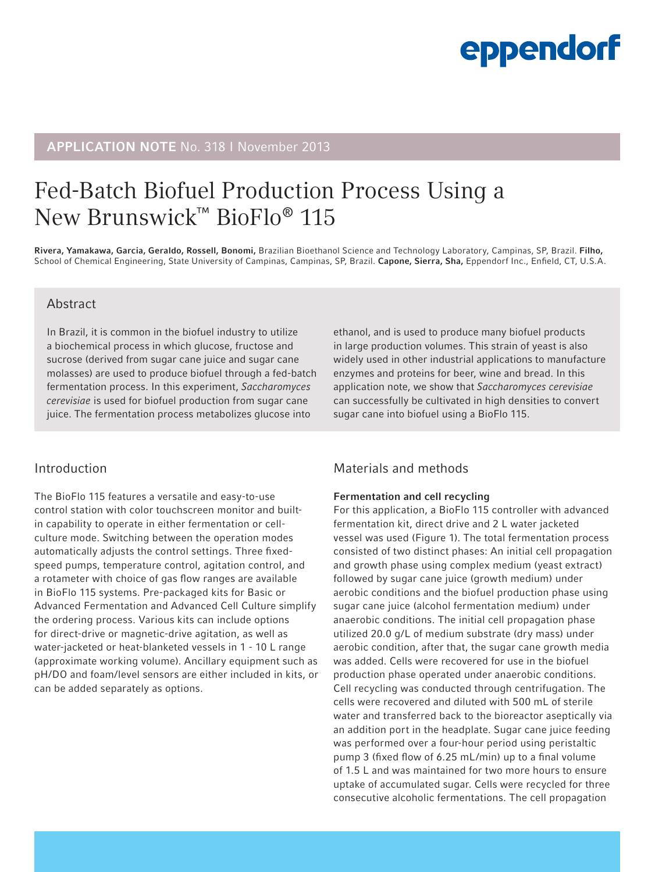# eppendorf

# APPLICATION NOTE No. 318 I November 2013

# Fed-Batch Biofuel Production Process Using a New Brunswick™ BioFlo® 115

Rivera, Yamakawa, Garcia, Geraldo, Rossell, Bonomi, Brazilian Bioethanol Science and Technology Laboratory, Campinas, SP, Brazil. Filho, School of Chemical Engineering, State University of Campinas, Campinas, SP, Brazil. Capone, Sierra, Sha, Eppendorf Inc., Enfield, CT, U.S.A.

### Abstract

In Brazil, it is common in the biofuel industry to utilize a biochemical process in which glucose, fructose and sucrose (derived from sugar cane juice and sugar cane molasses) are used to produce biofuel through a fed-batch fermentation process. In this experiment, *Saccharomyces cerevisiae* is used for biofuel production from sugar cane juice. The fermentation process metabolizes glucose into

### Introduction

The BioFlo 115 features a versatile and easy-to-use control station with color touchscreen monitor and builtin capability to operate in either fermentation or cellculture mode. Switching between the operation modes automatically adjusts the control settings. Three fixedspeed pumps, temperature control, agitation control, and a rotameter with choice of gas flow ranges are available in BioFlo 115 systems. Pre-packaged kits for Basic or Advanced Fermentation and Advanced Cell Culture simplify the ordering process. Various kits can include options for direct-drive or magnetic-drive agitation, as well as water-jacketed or heat-blanketed vessels in 1 - 10 L range (approximate working volume). Ancillary equipment such as pH/DO and foam/level sensors are either included in kits, or can be added separately as options.

ethanol, and is used to produce many biofuel products in large production volumes. This strain of yeast is also widely used in other industrial applications to manufacture enzymes and proteins for beer, wine and bread. In this application note, we show that *Saccharomyces cerevisiae* can successfully be cultivated in high densities to convert sugar cane into biofuel using a BioFlo 115.

# Materials and methods

#### Fermentation and cell recycling

For this application, a BioFlo 115 controller with advanced fermentation kit, direct drive and 2 L water jacketed vessel was used (Figure 1). The total fermentation process consisted of two distinct phases: An initial cell propagation and growth phase using complex medium (yeast extract) followed by sugar cane juice (growth medium) under aerobic conditions and the biofuel production phase using sugar cane juice (alcohol fermentation medium) under anaerobic conditions. The initial cell propagation phase utilized 20.0 g/L of medium substrate (dry mass) under aerobic condition, after that, the sugar cane growth media was added. Cells were recovered for use in the biofuel production phase operated under anaerobic conditions. Cell recycling was conducted through centrifugation. The cells were recovered and diluted with 500 mL of sterile water and transferred back to the bioreactor aseptically via an addition port in the headplate. Sugar cane juice feeding was performed over a four-hour period using peristaltic pump 3 (fixed flow of 6.25 mL/min) up to a final volume of 1.5 L and was maintained for two more hours to ensure uptake of accumulated sugar. Cells were recycled for three consecutive alcoholic fermentations. The cell propagation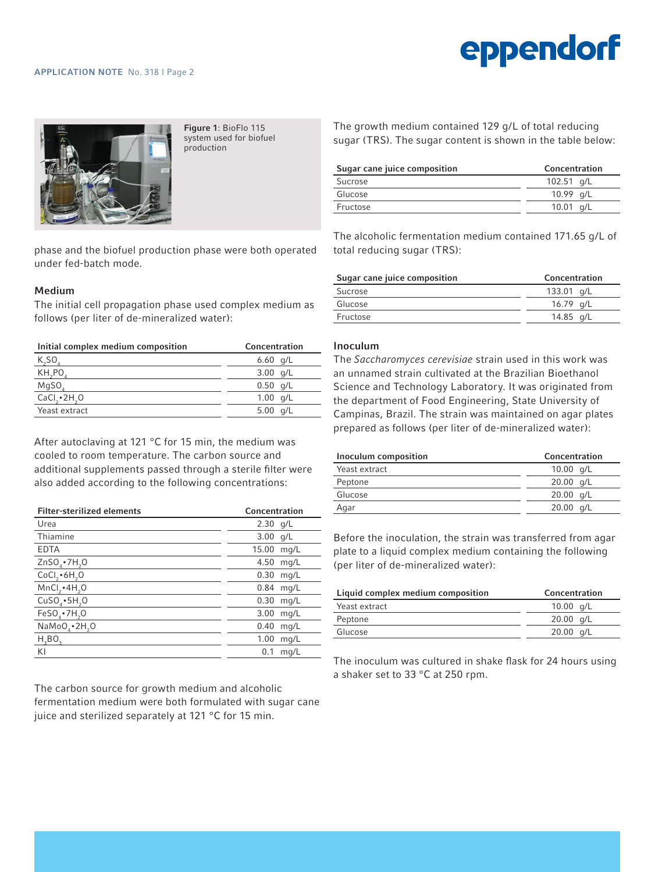# eppendorf



Figure 1: BioFlo 115 system used for biofuel production

phase and the biofuel production phase were both operated under fed-batch mode.

#### Medium

The initial cell propagation phase used complex medium as follows (per liter of de-mineralized water):

| Initial complex medium composition | Concentration |  |
|------------------------------------|---------------|--|
| $K_S$ 0                            | 6.60 $q/L$    |  |
| KH, PO                             | $3.00$ g/L    |  |
| MqSO <sub>a</sub>                  | $0.50$ g/L    |  |
| $CaCl2 \cdot 2H2O$                 | 1.00 $q/L$    |  |
| Yeast extract                      | g/L<br>5.00   |  |

After autoclaving at 121 °C for 15 min, the medium was cooled to room temperature. The carbon source and additional supplements passed through a sterile filter were also added according to the following concentrations:

| <b>Filter-sterilized elements</b>     | Concentration |  |
|---------------------------------------|---------------|--|
| Urea                                  | 2.30<br>g/L   |  |
| Thiamine                              | 3.00<br>q/L   |  |
| <b>EDTA</b>                           | 15.00<br>mq/L |  |
| $ZnSOa \cdot 7H2O$                    | 4.50<br>mq/L  |  |
| CoCl <sub>2</sub> •6H <sub>2</sub> O  | 0.30<br>mq/L  |  |
| MnCl, AH, O                           | 0.84<br>mq/L  |  |
| $CuSO4 \cdot 5H2O$                    | 0.30<br>mq/L  |  |
| $FeSO4$ • 7H <sub>2</sub> O           | 3.00<br>mq/L  |  |
| NaMoO <sub>a</sub> •2H <sub>2</sub> O | 0.40<br>mq/L  |  |
| H <sub>2</sub> BO <sub>2</sub>        | 1.00<br>mq/L  |  |
| KI                                    | 0.1<br>mq/L   |  |

The carbon source for growth medium and alcoholic fermentation medium were both formulated with sugar cane juice and sterilized separately at 121 °C for 15 min.

The growth medium contained 129 g/L of total reducing sugar (TRS). The sugar content is shown in the table below:

| Sugar cane juice composition | Concentration |  |
|------------------------------|---------------|--|
| Sucrose                      | 102.51 $q/L$  |  |
| Glucose                      | 10.99 $q/L$   |  |
| Fructose                     | $10.01$ g/L   |  |

The alcoholic fermentation medium contained 171.65 g/L of total reducing sugar (TRS):

| Sugar cane juice composition | Concentration |
|------------------------------|---------------|
| Sucrose                      | 133.01 a/L    |
| Glucose                      | 16.79 a/L     |
| Fructose                     | 14.85 g/L     |
|                              |               |

#### Inoculum

The *Saccharomyces cerevisiae* strain used in this work was an unnamed strain cultivated at the Brazilian Bioethanol Science and Technology Laboratory. It was originated from the department of Food Engineering, State University of Campinas, Brazil. The strain was maintained on agar plates prepared as follows (per liter of de-mineralized water):

| Inoculum composition | Concentration |  |
|----------------------|---------------|--|
| Yeast extract        | 10.00 $q/L$   |  |
| Peptone              | $20.00$ g/L   |  |
| Glucose              | $20.00$ g/L   |  |
| Agar                 | $20.00$ g/L   |  |
|                      |               |  |

Before the inoculation, the strain was transferred from agar plate to a liquid complex medium containing the following (per liter of de-mineralized water):

| Liquid complex medium composition | Concentration       |  |
|-----------------------------------|---------------------|--|
| Yeast extract                     | 10.00 $q/L$         |  |
| Peptone                           | $20.00$ g/L         |  |
| Glucose                           | $20.00 \text{ a/L}$ |  |

The inoculum was cultured in shake flask for 24 hours using a shaker set to 33 °C at 250 rpm.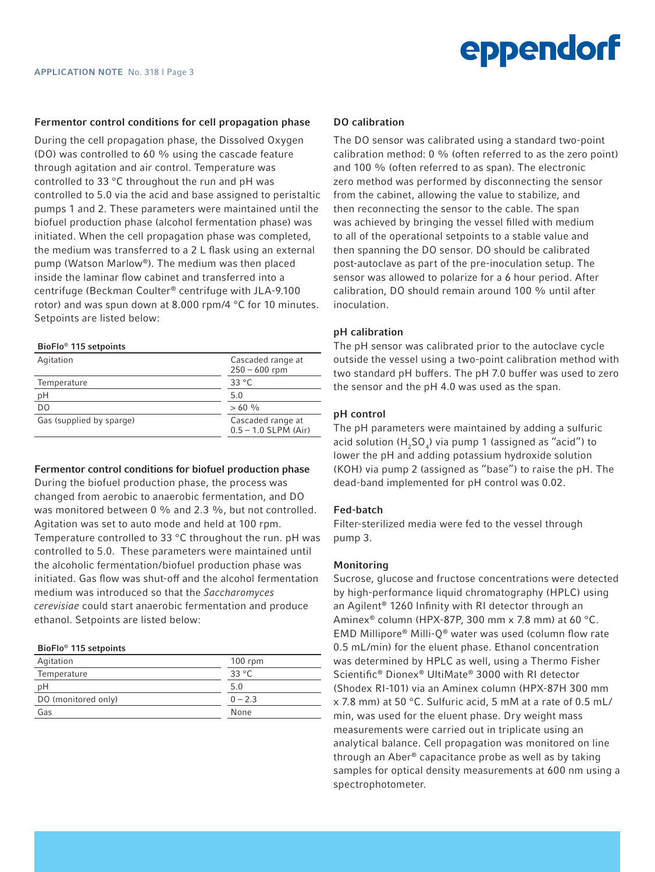#### Fermentor control conditions for cell propagation phase

During the cell propagation phase, the Dissolved Oxygen (DO) was controlled to 60 % using the cascade feature through agitation and air control. Temperature was controlled to 33 °C throughout the run and pH was controlled to 5.0 via the acid and base assigned to peristaltic pumps 1 and 2. These parameters were maintained until the biofuel production phase (alcohol fermentation phase) was initiated. When the cell propagation phase was completed, the medium was transferred to a 2 L flask using an external pump (Watson Marlow®). The medium was then placed inside the laminar flow cabinet and transferred into a centrifuge (Beckman Coulter® centrifuge with JLA-9.100 rotor) and was spun down at 8.000 rpm/4 °C for 10 minutes. Setpoints are listed below:

#### BioFlo® 115 setpoints

| Agitation                | Cascaded range at<br>$250 - 600$ rpm        |  |
|--------------------------|---------------------------------------------|--|
| Temperature              | 33 $^{\circ}$ C                             |  |
| рH                       | 5.0                                         |  |
| D <sub>O</sub>           | $>60\%$                                     |  |
| Gas (supplied by sparge) | Cascaded range at<br>$0.5 - 1.0$ SLPM (Air) |  |

#### Fermentor control conditions for biofuel production phase

During the biofuel production phase, the process was changed from aerobic to anaerobic fermentation, and DO was monitored between 0 % and 2.3 %, but not controlled. Agitation was set to auto mode and held at 100 rpm. Temperature controlled to 33 °C throughout the run. pH was controlled to 5.0. These parameters were maintained until the alcoholic fermentation/biofuel production phase was initiated. Gas flow was shut-off and the alcohol fermentation medium was introduced so that the *Saccharomyces cerevisiae* could start anaerobic fermentation and produce ethanol. Setpoints are listed below:

#### BioFlo® 115 setpoints

| Agitation           | $100$ rpm      |
|---------------------|----------------|
| Temperature         | $33^{\circ}$ C |
| pH                  | 5.0            |
| DO (monitored only) | $0 - 2.3$      |
| Gas                 | None           |

#### DO calibration

The DO sensor was calibrated using a standard two-point calibration method: 0 % (often referred to as the zero point) and 100 % (often referred to as span). The electronic zero method was performed by disconnecting the sensor from the cabinet, allowing the value to stabilize, and then reconnecting the sensor to the cable. The span was achieved by bringing the vessel filled with medium to all of the operational setpoints to a stable value and then spanning the DO sensor. DO should be calibrated post-autoclave as part of the pre-inoculation setup. The sensor was allowed to polarize for a 6 hour period. After calibration, DO should remain around 100 % until after inoculation.

#### pH calibration

The pH sensor was calibrated prior to the autoclave cycle outside the vessel using a two-point calibration method with two standard pH buffers. The pH 7.0 buffer was used to zero the sensor and the pH 4.0 was used as the span.

#### pH control

The pH parameters were maintained by adding a sulfuric acid solution  $(H_5O_4)$  via pump 1 (assigned as "acid") to lower the pH and adding potassium hydroxide solution (KOH) via pump 2 (assigned as "base") to raise the pH. The dead-band implemented for pH control was 0.02.

#### Fed-batch

Filter-sterilized media were fed to the vessel through pump 3.

#### Monitoring

Sucrose, glucose and fructose concentrations were detected by high-performance liquid chromatography (HPLC) using an Agilent® 1260 Infinity with RI detector through an Aminex® column (HPX-87P, 300 mm x 7.8 mm) at 60 °C. EMD Millipore® Milli-Q® water was used (column flow rate 0.5 mL/min) for the eluent phase. Ethanol concentration was determined by HPLC as well, using a Thermo Fisher Scientific® Dionex® UltiMate® 3000 with RI detector (Shodex RI-101) via an Aminex column (HPX-87H 300 mm x 7.8 mm) at 50 °C. Sulfuric acid, 5 mM at a rate of 0.5 mL/ min, was used for the eluent phase. Dry weight mass measurements were carried out in triplicate using an analytical balance. Cell propagation was monitored on line through an Aber® capacitance probe as well as by taking samples for optical density measurements at 600 nm using a spectrophotometer.